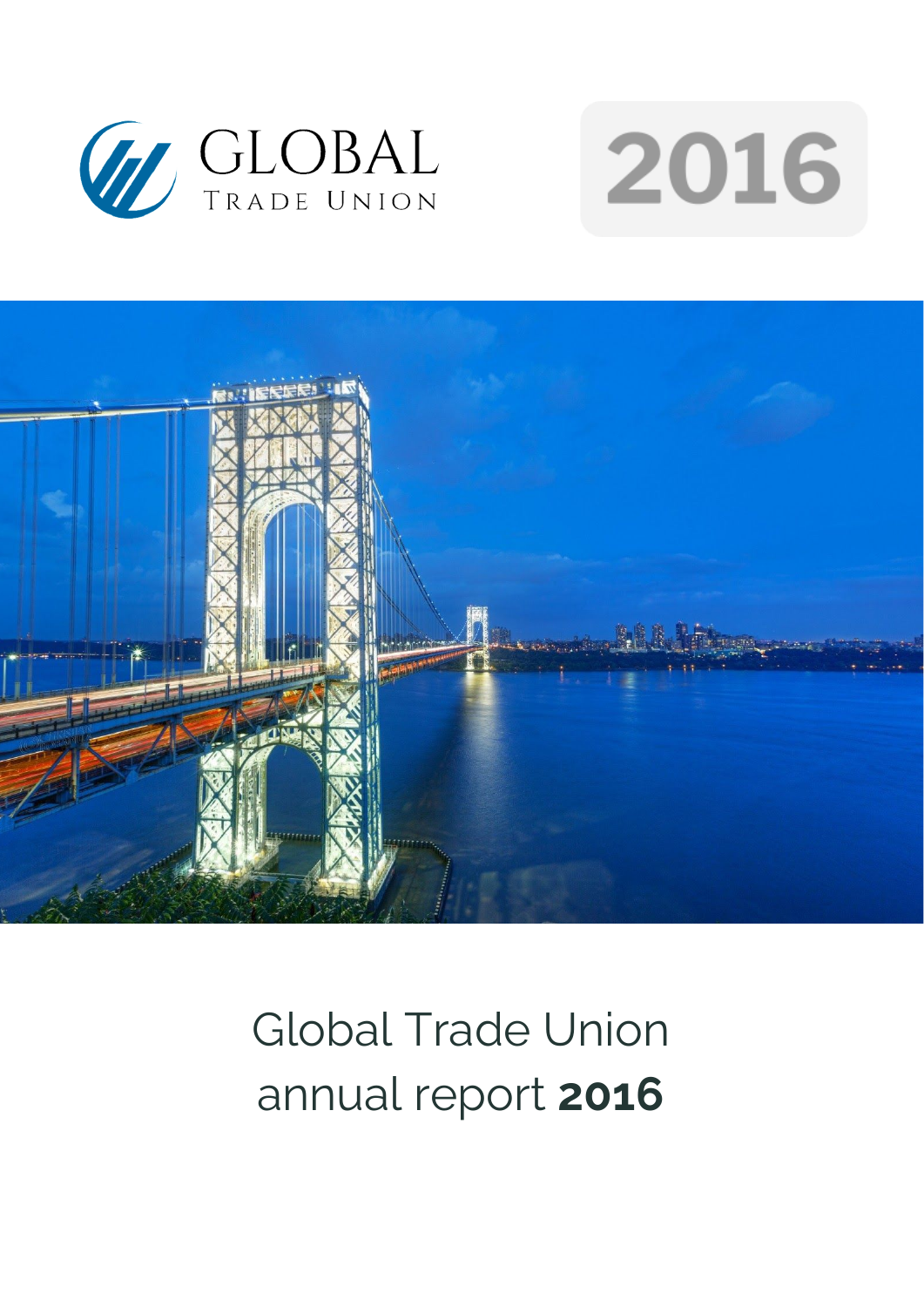





# Global Trade Union annual report **2016**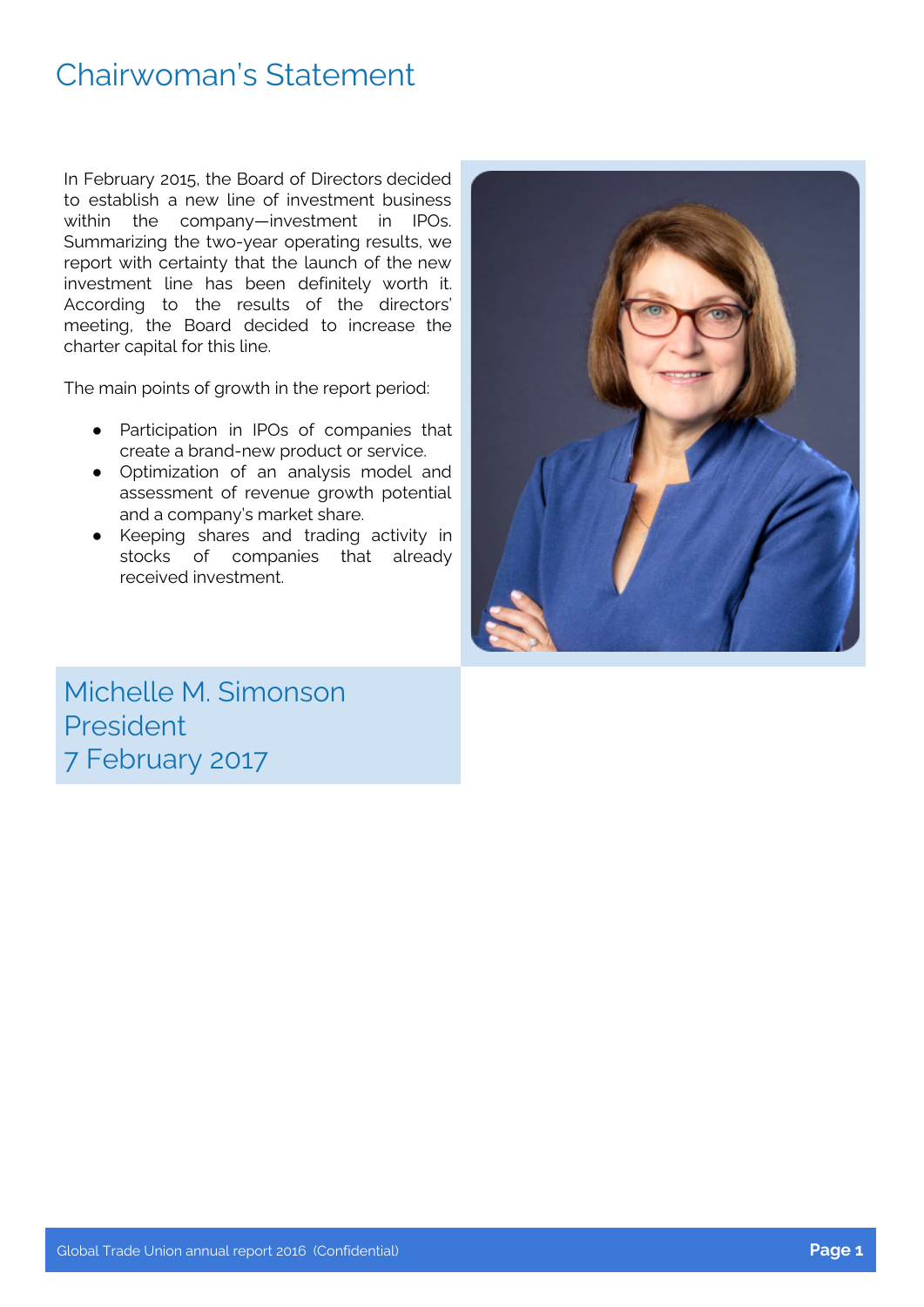### Chairwoman's Statement

In February 2015, the Board of Directors decided to establish a new line of investment business within the company—investment in IPOs. Summarizing the two-year operating results, we report with certainty that the launch of the new investment line has been definitely worth it. According to the results of the directors' meeting, the Board decided to increase the charter capital for this line.

The main points of growth in the report period:

- Participation in IPOs of companies that create a brand-new product or service.
- Optimization of an analysis model and assessment of revenue growth potential and a company's market share.
- Keeping shares and trading activity in stocks of companies that already received investment.



Michelle M. Simonson President 7 February 2017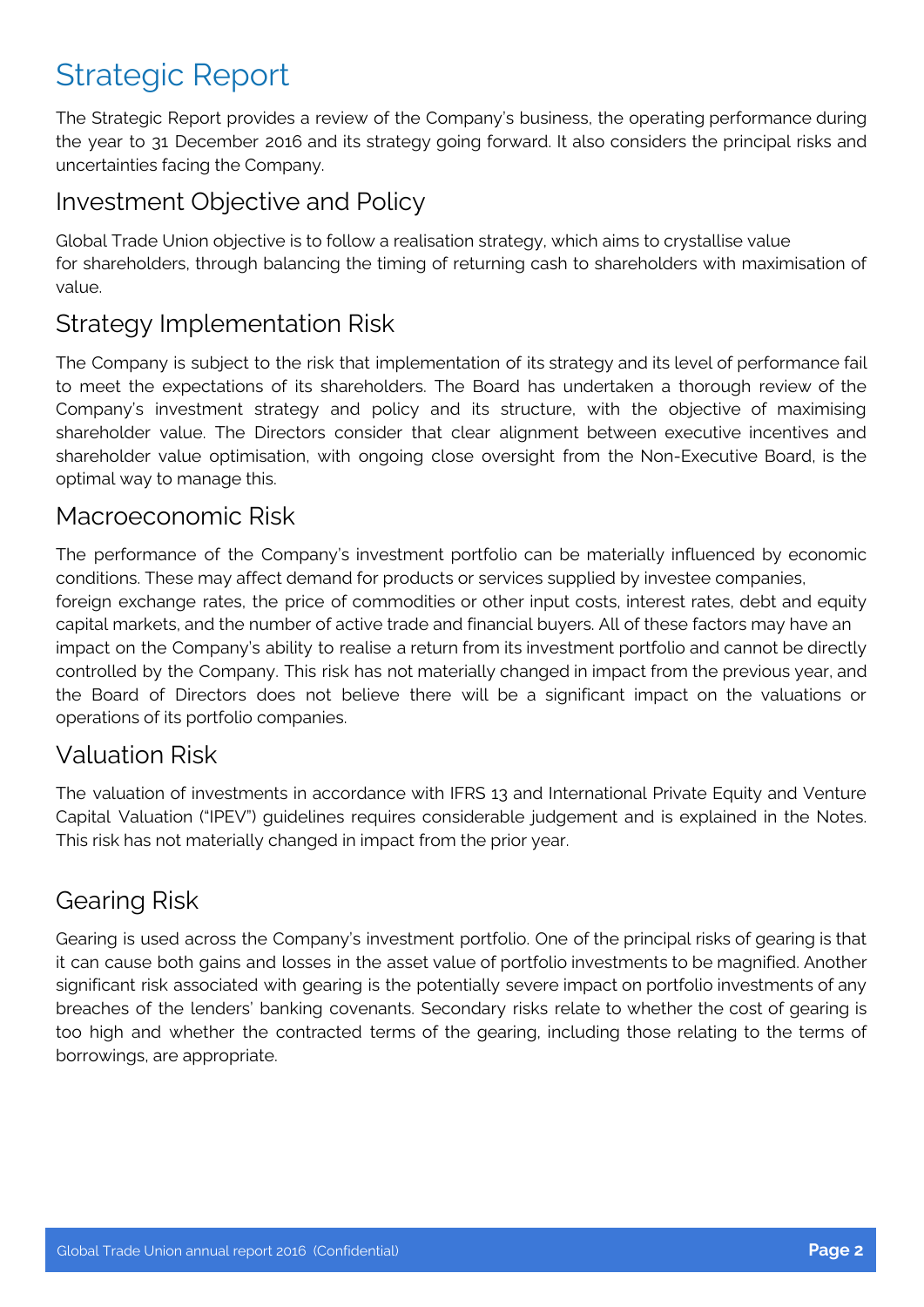# Strategic Report

The Strategic Report provides a review of the Company's business, the operating performance during the year to 31 December 2016 and its strategy going forward. It also considers the principal risks and uncertainties facing the Company.

#### Investment Objective and Policy

Global Trade Union objective is to follow a realisation strategy, which aims to crystallise value for shareholders, through balancing the timing of returning cash to shareholders with maximisation of value.

#### Strategy Implementation Risk

The Company is subject to the risk that implementation of its strategy and its level of performance fail to meet the expectations of its shareholders. The Board has undertaken a thorough review of the Company's investment strategy and policy and its structure, with the objective of maximising shareholder value. The Directors consider that clear alignment between executive incentives and shareholder value optimisation, with ongoing close oversight from the Non-Executive Board, is the optimal way to manage this.

#### Macroeconomic Risk

The performance of the Company's investment portfolio can be materially influenced by economic conditions. These may affect demand for products or services supplied by investee companies, foreign exchange rates, the price of commodities or other input costs, interest rates, debt and equity capital markets, and the number of active trade and financial buyers. All of these factors may have an impact on the Company's ability to realise a return from its investment portfolio and cannot be directly controlled by the Company. This risk has not materially changed in impact from the previous year, and the Board of Directors does not believe there will be a significant impact on the valuations or operations of its portfolio companies.

#### Valuation Risk

The valuation of investments in accordance with IFRS 13 and International Private Equity and Venture Capital Valuation ("IPEV") guidelines requires considerable judgement and is explained in the Notes. This risk has not materially changed in impact from the prior year.

### Gearing Risk

Gearing is used across the Company's investment portfolio. One of the principal risks of gearing is that it can cause both gains and losses in the asset value of portfolio investments to be magnified. Another significant risk associated with gearing is the potentially severe impact on portfolio investments of any breaches of the lenders' banking covenants. Secondary risks relate to whether the cost of gearing is too high and whether the contracted terms of the gearing, including those relating to the terms of borrowings, are appropriate.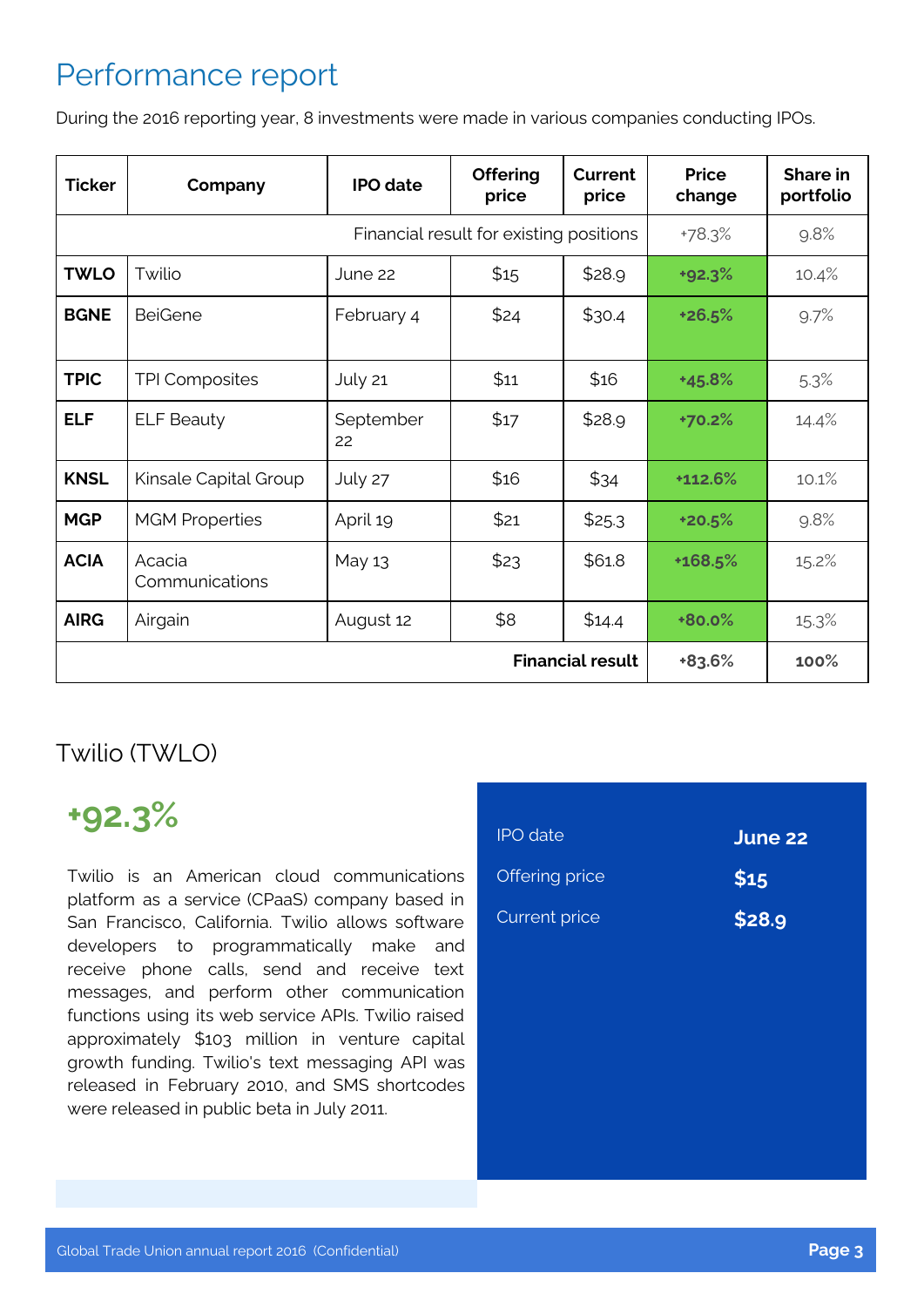## Performance report

During the 2016 reporting year, 8 investments were made in various companies conducting IPOs.

| <b>Ticker</b>                           | Company                  | <b>IPO</b> date | <b>Offering</b><br>price | <b>Current</b><br>price | <b>Price</b><br>change | Share in<br>portfolio |
|-----------------------------------------|--------------------------|-----------------|--------------------------|-------------------------|------------------------|-----------------------|
| Financial result for existing positions |                          |                 | +78.3%                   | 9.8%                    |                        |                       |
| <b>TWLO</b>                             | Twilio                   | June 22         | \$15                     | \$28.9                  | $+92.3%$               | 10.4%                 |
| <b>BGNE</b>                             | <b>BeiGene</b>           | February 4      | \$24                     | \$30.4                  | +26.5%                 | 9.7%                  |
| <b>TPIC</b>                             | <b>TPI Composites</b>    | July 21         | \$11                     | \$16                    | +45.8%                 | 5.3%                  |
| <b>ELF</b>                              | <b>ELF Beauty</b>        | September<br>22 | \$17                     | \$28.9                  | +70.2%                 | 14.4%                 |
| <b>KNSL</b>                             | Kinsale Capital Group    | July 27         | \$16                     | \$34                    | +112.6%                | 10.1%                 |
| <b>MGP</b>                              | <b>MGM Properties</b>    | April 19        | \$21                     | \$25.3                  | +20.5%                 | 9.8%                  |
| <b>ACIA</b>                             | Acacia<br>Communications | May 13          | \$23                     | \$61.8                  | +168.5%                | 15.2%                 |
| <b>AIRG</b>                             | Airgain                  | August 12       | \$8                      | \$14.4                  | $+80.0%$               | 15.3%                 |
| <b>Financial result</b>                 |                          |                 |                          | +83.6%                  | 100%                   |                       |

### Twilio (TWLO)

# **+92.3%**

Twilio is an American cloud communications platform as a service (CPaaS) company based in San Francisco, California. Twilio allows software developers to programmatically make and receive phone calls, send and receive text messages, and perform other communication functions using its web service APIs. Twilio raised approximately \$103 million in venture capital growth funding. Twilio's text messaging API was released in February 2010, and SMS shortcodes were released in public beta in July 2011.

| <b>IPO</b> date      | June 22 |
|----------------------|---------|
| Offering price       | \$15    |
| <b>Current price</b> | \$28.9  |
|                      |         |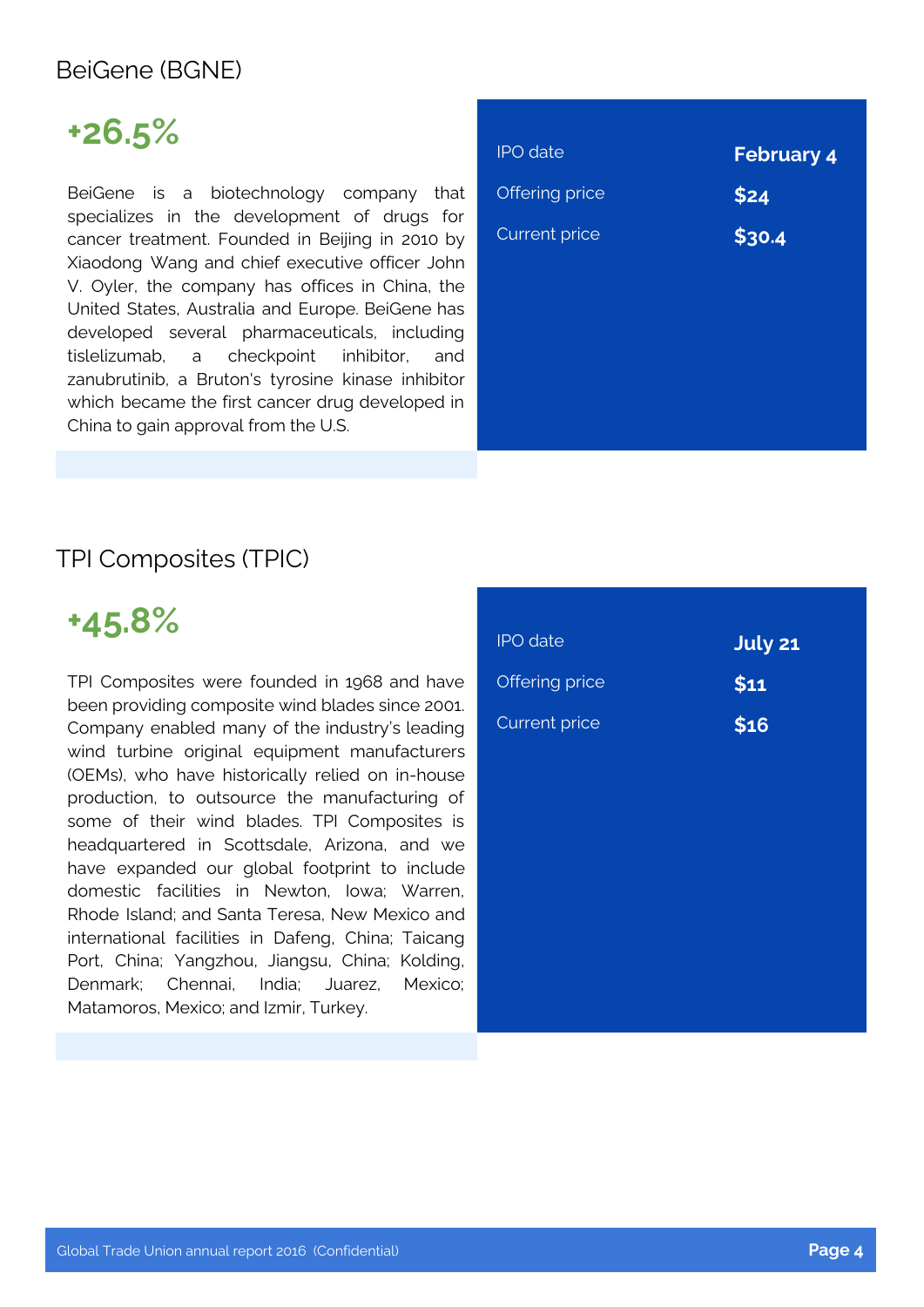#### BeiGene (BGNE)

# **+26.5%**

BeiGene is a biotechnology company that specializes in the development of drugs for cancer treatment. Founded in Beijing in 2010 by Xiaodong Wang and chief executive officer John V. Oyler, the company has offices in China, the United States, Australia and Europe. BeiGene has developed several pharmaceuticals, including tislelizumab, a checkpoint inhibitor, and zanubrutinib, a Bruton's tyrosine kinase inhibitor which became the first cancer drug developed in China to gain approval from the U.S.

| <b>IPO</b> date       | <b>February 4</b> |
|-----------------------|-------------------|
| <b>Offering price</b> | \$24              |
| <b>Current price</b>  | \$30.4            |
|                       |                   |
|                       |                   |
|                       |                   |
|                       |                   |
|                       |                   |

#### TPI Composites (TPIC)



TPI Composites were founded in 1968 and have been providing composite wind blades since 2001. Company enabled many of the industry's leading wind turbine original equipment manufacturers (OEMs), who have historically relied on in-house production, to outsource the manufacturing of some of their wind blades. TPI Composites is headquartered in Scottsdale, Arizona, and we have expanded our global footprint to include domestic facilities in Newton, Iowa; Warren, Rhode Island; and Santa Teresa, New Mexico and international facilities in Dafeng, China; Taicang Port, China; Yangzhou, Jiangsu, China; Kolding, Denmark; Chennai, India; Juarez, Mexico; Matamoros, Mexico; and Izmir, Turkey.

| <b>IPO</b> date      | <b>July 21</b> |
|----------------------|----------------|
| Offering price       | \$11           |
| <b>Current price</b> | \$16           |
|                      |                |
|                      |                |
|                      |                |
|                      |                |
|                      |                |
|                      |                |
|                      |                |
|                      |                |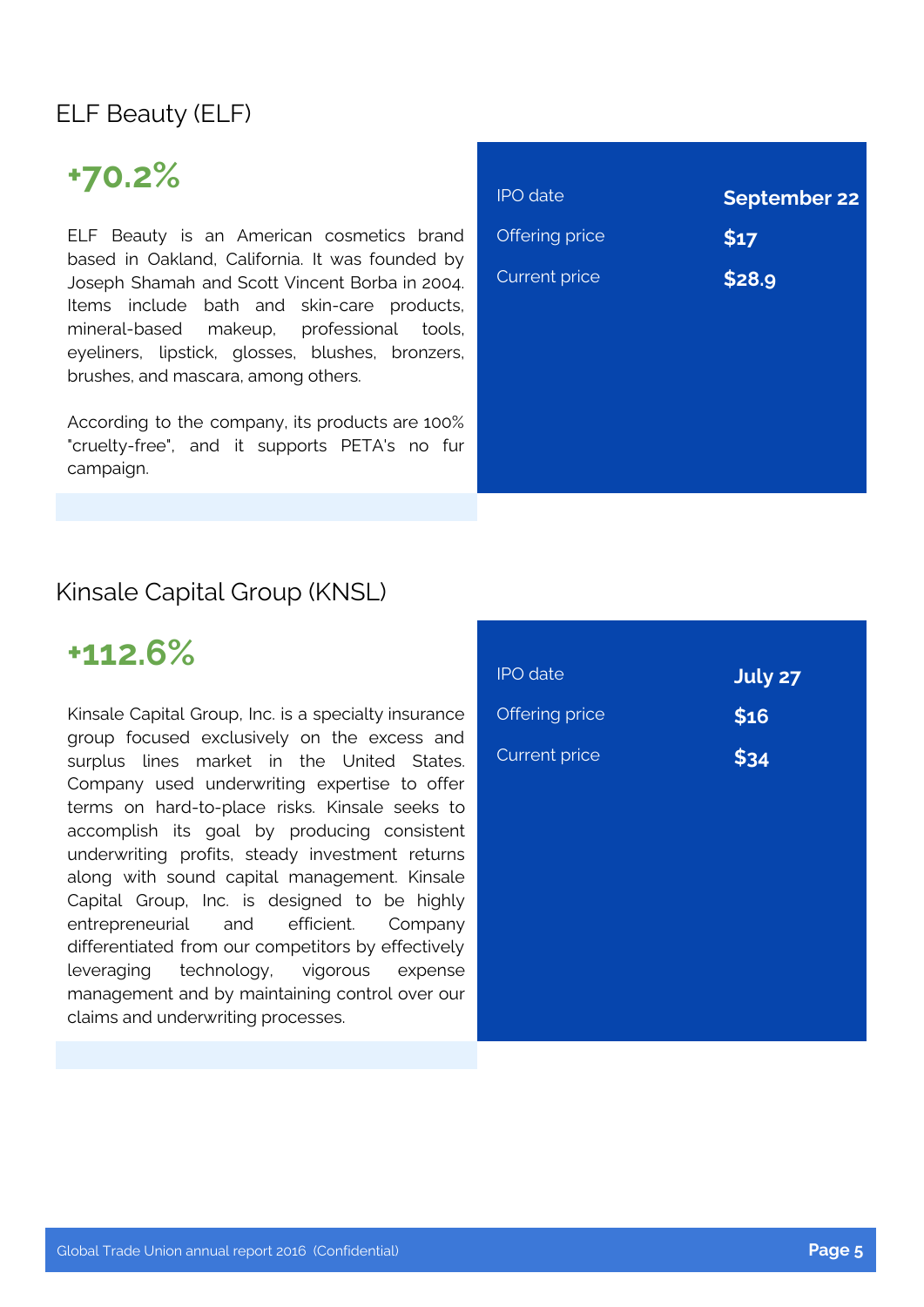### ELF Beauty (ELF)

## **+70.2%**

ELF Beauty is an American cosmetics brand based in Oakland, California. It was founded by Joseph Shamah and Scott Vincent Borba in 2004. Items include bath and skin-care products, mineral-based makeup, professional tools, eyeliners, lipstick, glosses, blushes, bronzers, brushes, and mascara, among others.

According to the company, its products are 100% "cruelty-free", and it supports PETA's no fur campaign.

| <b>IPO</b> date      | <b>September 22</b> |
|----------------------|---------------------|
| Offering price       | \$17                |
| <b>Current price</b> | \$28.9              |
|                      |                     |
|                      |                     |
|                      |                     |
|                      |                     |
|                      |                     |

#### Kinsale Capital Group (KNSL)

### **+112.6%**

Kinsale Capital Group, Inc. is a specialty insurance group focused exclusively on the excess and surplus lines market in the United States. Company used underwriting expertise to offer terms on hard-to-place risks. Kinsale seeks to accomplish its goal by producing consistent underwriting profits, steady investment returns along with sound capital management. Kinsale Capital Group, Inc. is designed to be highly entrepreneurial and efficient. Company differentiated from our competitors by effectively leveraging technology, vigorous expense management and by maintaining control over our claims and underwriting processes.

| <b>IPO</b> date      | <b>July 27</b> |
|----------------------|----------------|
| Offering price       | \$16           |
| <b>Current price</b> | \$34           |
|                      |                |
|                      |                |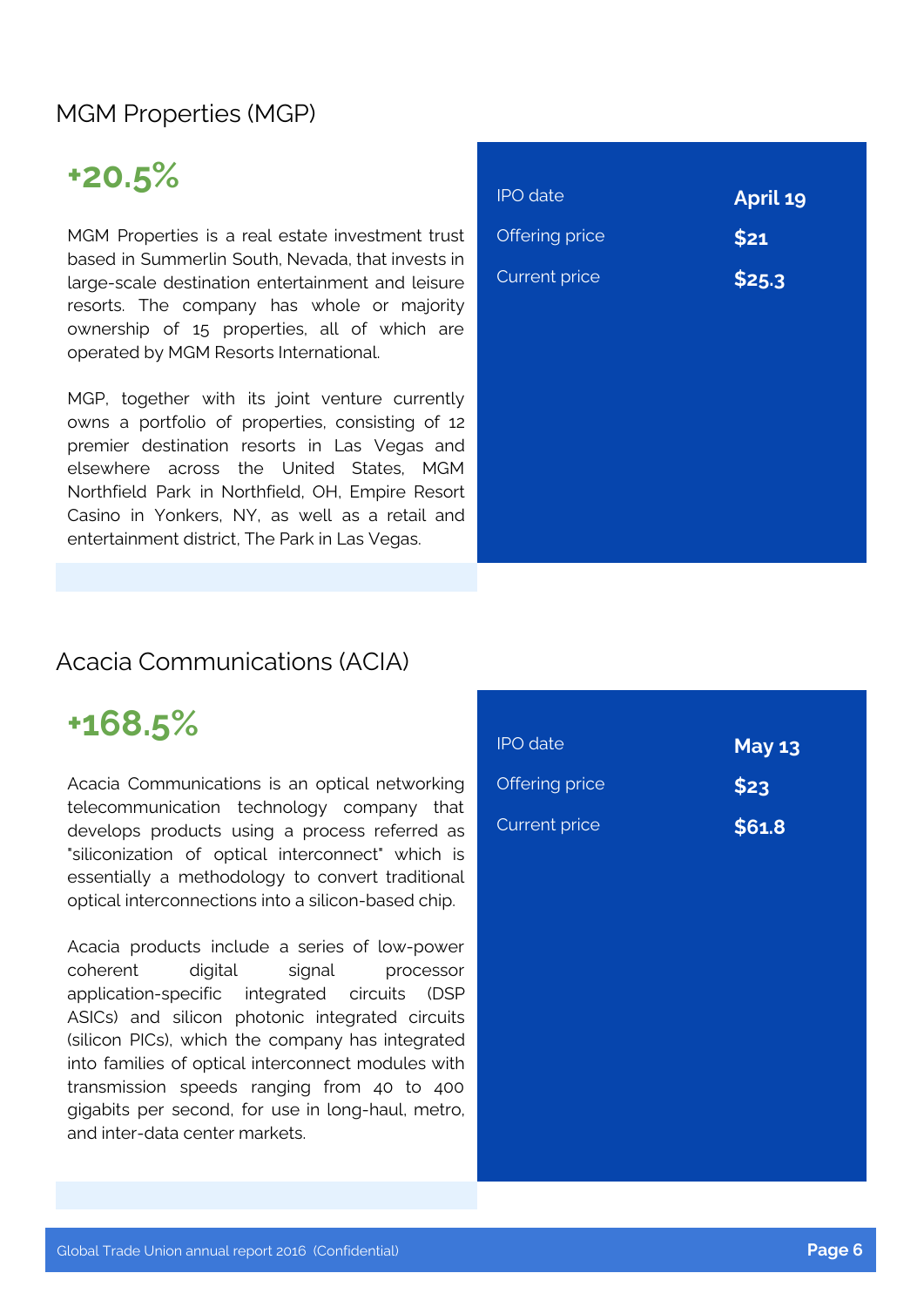#### MGM Properties (MGP)

# **+20.5%**

MGM Properties is a real estate investment trust based in Summerlin South, Nevada, that invests in large-scale destination entertainment and leisure resorts. The company has whole or majority ownership of 15 properties, all of which are operated by MGM Resorts International.

MGP, together with its joint venture currently owns a portfolio of properties, consisting of 12 premier destination resorts in Las Vegas and elsewhere across the United States, MGM Northfield Park in Northfield, OH, Empire Resort Casino in Yonkers, NY, as well as a retail and entertainment district, The Park in Las Vegas.

| <b>IPO</b> date      | April 19 |
|----------------------|----------|
| Offering price       | \$21     |
| <b>Current price</b> | \$25.3   |
|                      |          |
|                      |          |
|                      |          |
|                      |          |
|                      |          |
|                      |          |
|                      |          |

#### Acacia Communications (ACIA)

# **+168.5%**

Acacia Communications is an optical networking telecommunication technology company that develops products using a process referred as "siliconization of optical interconnect" which is essentially a methodology to convert traditional optical interconnections into a silicon-based chip.

Acacia products include a series of low-power coherent digital signal processor application-specific integrated circuits (DSP ASICs) and silicon photonic integrated circuits (silicon PICs), which the company has integrated into families of optical interconnect modules with transmission speeds ranging from 40 to 400 gigabits per second, for use in long-haul, metro, and inter-data center markets.

| <b>IPO</b> date      | <b>May 13</b> |
|----------------------|---------------|
| Offering price       | \$23          |
| <b>Current price</b> | \$61.8        |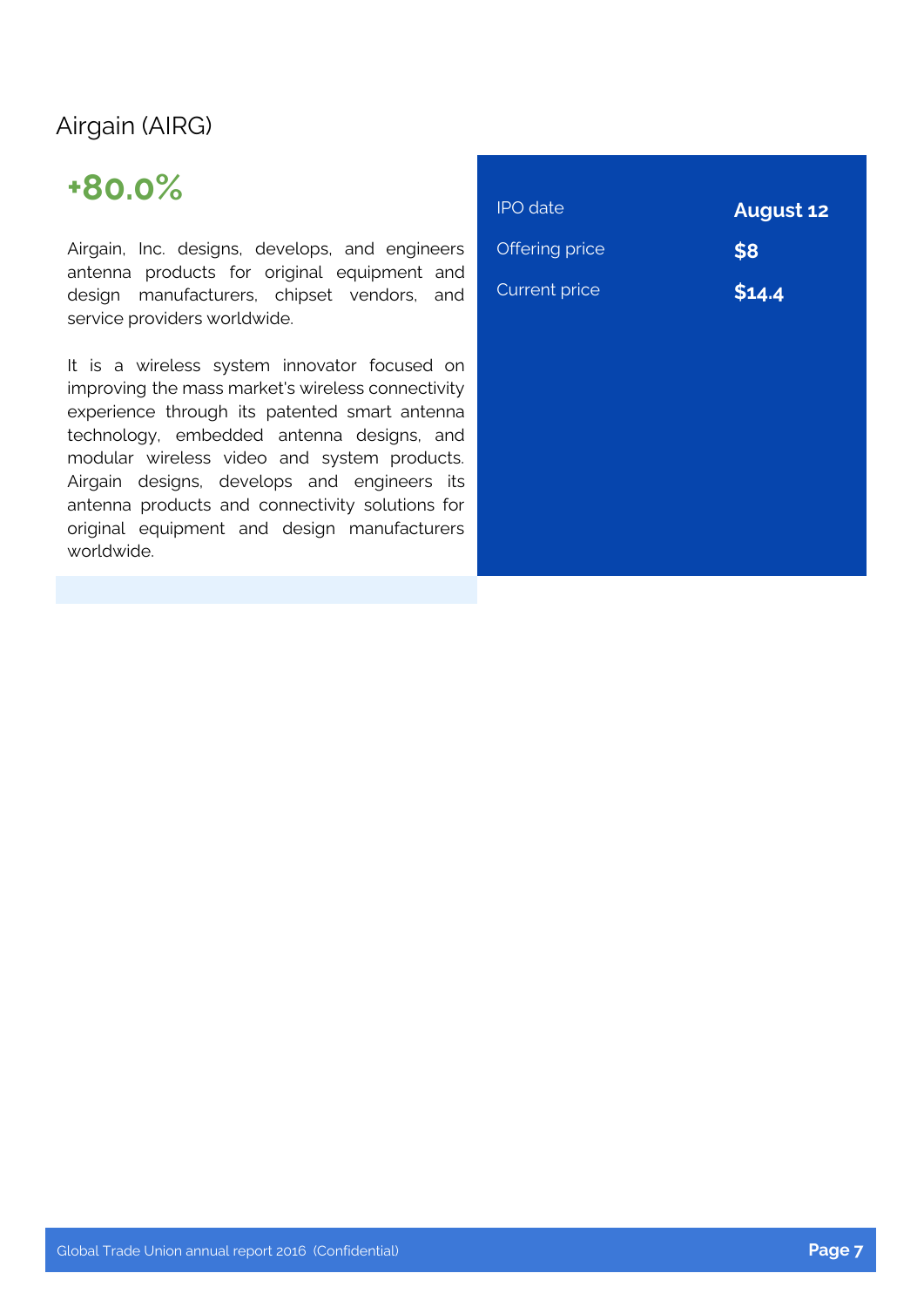### Airgain (AIRG)

# **+80.0%**

Airgain, Inc. designs, develops, and engineers antenna products for original equipment and design manufacturers, chipset vendors, and service providers worldwide.

It is a wireless system innovator focused on improving the mass market's wireless connectivity experience through its patented smart antenna technology, embedded antenna designs, and modular wireless video and system products. Airgain designs, develops and engineers its antenna products and connectivity solutions for original equipment and design manufacturers worldwide.

| <b>IPO</b> date      | <b>August 12</b> |
|----------------------|------------------|
| Offering price       | \$8              |
| <b>Current price</b> | \$14.4           |
|                      |                  |